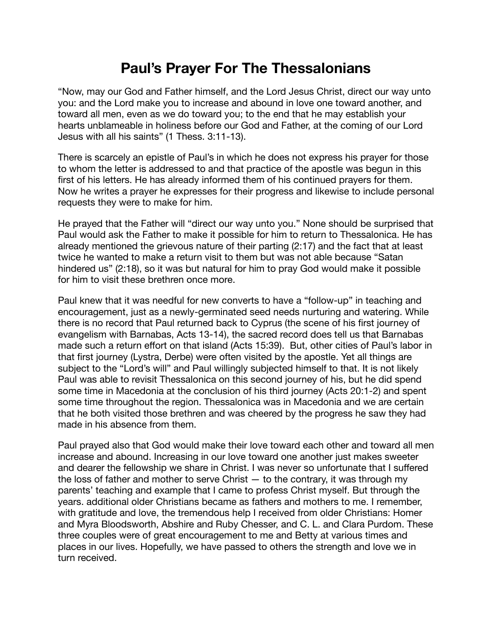## **Paul's Prayer For The Thessalonians**

"Now, may our God and Father himself, and the Lord Jesus Christ, direct our way unto you: and the Lord make you to increase and abound in love one toward another, and toward all men, even as we do toward you; to the end that he may establish your hearts unblameable in holiness before our God and Father, at the coming of our Lord Jesus with all his saints" (1 Thess. 3:11-13).

There is scarcely an epistle of Paul's in which he does not express his prayer for those to whom the letter is addressed to and that practice of the apostle was begun in this first of his letters. He has already informed them of his continued prayers for them. Now he writes a prayer he expresses for their progress and likewise to include personal requests they were to make for him.

He prayed that the Father will "direct our way unto you." None should be surprised that Paul would ask the Father to make it possible for him to return to Thessalonica. He has already mentioned the grievous nature of their parting (2:17) and the fact that at least twice he wanted to make a return visit to them but was not able because "Satan hindered us" (2:18), so it was but natural for him to pray God would make it possible for him to visit these brethren once more.

Paul knew that it was needful for new converts to have a "follow-up" in teaching and encouragement, just as a newly-germinated seed needs nurturing and watering. While there is no record that Paul returned back to Cyprus (the scene of his first journey of evangelism with Barnabas, Acts 13-14), the sacred record does tell us that Barnabas made such a return effort on that island (Acts 15:39). But, other cities of Paul's labor in that first journey (Lystra, Derbe) were often visited by the apostle. Yet all things are subject to the "Lord's will" and Paul willingly subjected himself to that. It is not likely Paul was able to revisit Thessalonica on this second journey of his, but he did spend some time in Macedonia at the conclusion of his third journey (Acts 20:1-2) and spent some time throughout the region. Thessalonica was in Macedonia and we are certain that he both visited those brethren and was cheered by the progress he saw they had made in his absence from them.

Paul prayed also that God would make their love toward each other and toward all men increase and abound. Increasing in our love toward one another just makes sweeter and dearer the fellowship we share in Christ. I was never so unfortunate that I suffered the loss of father and mother to serve Christ — to the contrary, it was through my parents' teaching and example that I came to profess Christ myself. But through the years. additional older Christians became as fathers and mothers to me. I remember, with gratitude and love, the tremendous help I received from older Christians: Homer and Myra Bloodsworth, Abshire and Ruby Chesser, and C. L. and Clara Purdom. These three couples were of great encouragement to me and Betty at various times and places in our lives. Hopefully, we have passed to others the strength and love we in turn received.